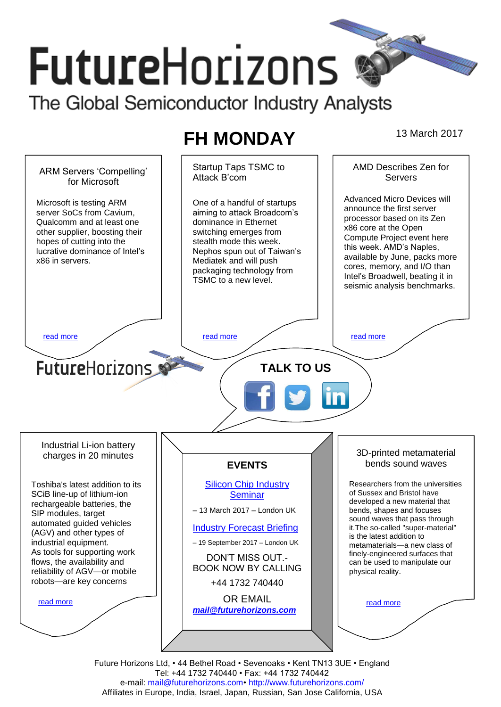# **FutureHorizons**

The Global Semiconductor Industry Analysts

# **FH MONDAY** 13 March 2017



Future Horizons Ltd, • 44 Bethel Road • Sevenoaks • Kent TN13 3UE • England Tel: +44 1732 740440 • Fax: +44 1732 740442 e-mail: mail@futurehorizons.com• http://www.futurehorizons.com/ Affiliates in Europe, India, Israel, Japan, Russian, San Jose California, USA